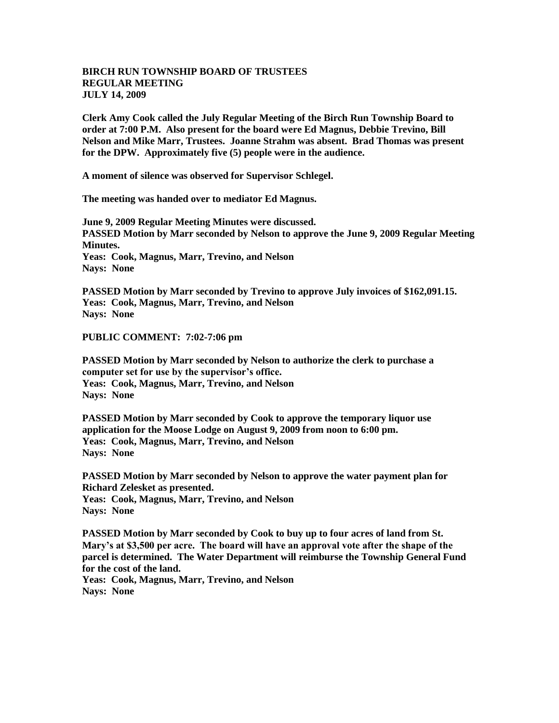## **BIRCH RUN TOWNSHIP BOARD OF TRUSTEES REGULAR MEETING JULY 14, 2009**

**Clerk Amy Cook called the July Regular Meeting of the Birch Run Township Board to order at 7:00 P.M. Also present for the board were Ed Magnus, Debbie Trevino, Bill Nelson and Mike Marr, Trustees. Joanne Strahm was absent. Brad Thomas was present for the DPW. Approximately five (5) people were in the audience.** 

**A moment of silence was observed for Supervisor Schlegel.**

**The meeting was handed over to mediator Ed Magnus.**

**June 9, 2009 Regular Meeting Minutes were discussed. PASSED Motion by Marr seconded by Nelson to approve the June 9, 2009 Regular Meeting Minutes. Yeas: Cook, Magnus, Marr, Trevino, and Nelson Nays: None** 

**PASSED Motion by Marr seconded by Trevino to approve July invoices of \$162,091.15. Yeas: Cook, Magnus, Marr, Trevino, and Nelson Nays: None** 

**PUBLIC COMMENT: 7:02-7:06 pm**

**PASSED Motion by Marr seconded by Nelson to authorize the clerk to purchase a computer set for use by the supervisor's office. Yeas: Cook, Magnus, Marr, Trevino, and Nelson Nays: None** 

**PASSED Motion by Marr seconded by Cook to approve the temporary liquor use application for the Moose Lodge on August 9, 2009 from noon to 6:00 pm. Yeas: Cook, Magnus, Marr, Trevino, and Nelson Nays: None** 

**PASSED Motion by Marr seconded by Nelson to approve the water payment plan for Richard Zelesket as presented.**

**Yeas: Cook, Magnus, Marr, Trevino, and Nelson Nays: None** 

**PASSED Motion by Marr seconded by Cook to buy up to four acres of land from St. Mary's at \$3,500 per acre. The board will have an approval vote after the shape of the parcel is determined. The Water Department will reimburse the Township General Fund for the cost of the land.**

**Yeas: Cook, Magnus, Marr, Trevino, and Nelson Nays: None**